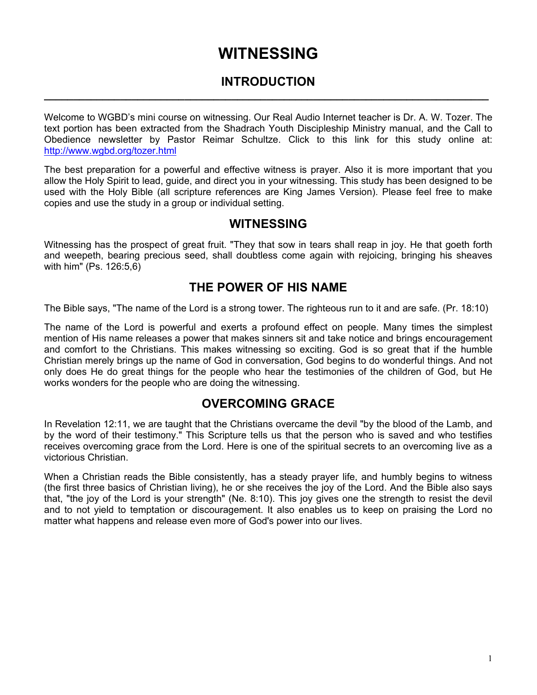# **WITNESSING**

#### **INTRODUCTION \_\_\_\_\_\_\_\_\_\_\_\_\_\_\_\_\_\_\_\_\_\_\_\_\_\_\_\_\_\_\_\_\_\_\_\_\_\_\_\_\_\_\_\_\_\_\_\_\_\_\_\_\_\_\_\_\_\_\_\_\_\_\_\_\_\_\_\_\_\_\_\_\_\_\_\_**

Welcome to WGBD's mini course on witnessing. Our Real Audio Internet teacher is Dr. A. W. Tozer. The text portion has been extracted from the Shadrach Youth Discipleship Ministry manual, and the Call to Obedience newsletter by Pastor Reimar Schultze. Click to this link for this study online at: <http://www.wgbd.org/tozer.html>

The best preparation for a powerful and effective witness is prayer. Also it is more important that you allow the Holy Spirit to lead, guide, and direct you in your witnessing. This study has been designed to be used with the Holy Bible (all scripture references are King James Version). Please feel free to make copies and use the study in a group or individual setting.

#### **WITNESSING**

Witnessing has the prospect of great fruit. "They that sow in tears shall reap in joy. He that goeth forth and weepeth, bearing precious seed, shall doubtless come again with rejoicing, bringing his sheaves with him" (Ps. 126:5,6)

#### **THE POWER OF HIS NAME**

The Bible says, "The name of the Lord is a strong tower. The righteous run to it and are safe. (Pr. 18:10)

The name of the Lord is powerful and exerts a profound effect on people. Many times the simplest mention of His name releases a power that makes sinners sit and take notice and brings encouragement and comfort to the Christians. This makes witnessing so exciting. God is so great that if the humble Christian merely brings up the name of God in conversation, God begins to do wonderful things. And not only does He do great things for the people who hear the testimonies of the children of God, but He works wonders for the people who are doing the witnessing.

#### **OVERCOMING GRACE**

In Revelation 12:11, we are taught that the Christians overcame the devil "by the blood of the Lamb, and by the word of their testimony." This Scripture tells us that the person who is saved and who testifies receives overcoming grace from the Lord. Here is one of the spiritual secrets to an overcoming live as a victorious Christian.

When a Christian reads the Bible consistently, has a steady prayer life, and humbly begins to witness (the first three basics of Christian living), he or she receives the joy of the Lord. And the Bible also says that, "the joy of the Lord is your strength" (Ne. 8:10). This joy gives one the strength to resist the devil and to not yield to temptation or discouragement. It also enables us to keep on praising the Lord no matter what happens and release even more of God's power into our lives.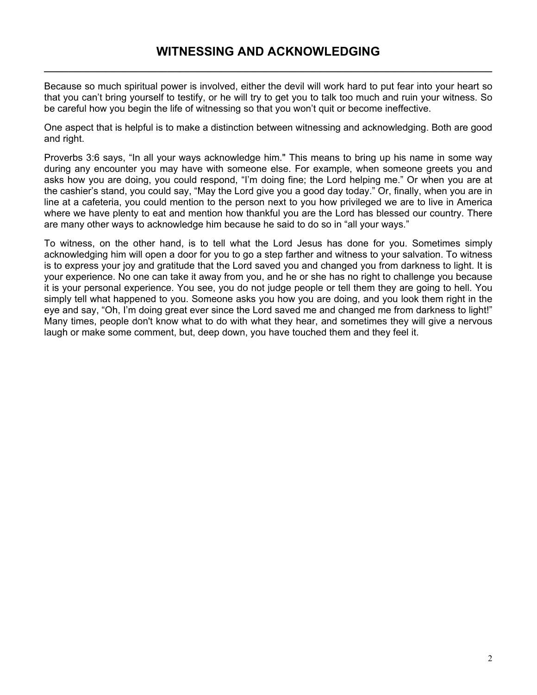Because so much spiritual power is involved, either the devil will work hard to put fear into your heart so that you can't bring yourself to testify, or he will try to get you to talk too much and ruin your witness. So be careful how you begin the life of witnessing so that you won't quit or become ineffective.

One aspect that is helpful is to make a distinction between witnessing and acknowledging. Both are good and right.

Proverbs 3:6 says, "In all your ways acknowledge him." This means to bring up his name in some way during any encounter you may have with someone else. For example, when someone greets you and asks how you are doing, you could respond, "I'm doing fine; the Lord helping me." Or when you are at the cashier's stand, you could say, "May the Lord give you a good day today." Or, finally, when you are in line at a cafeteria, you could mention to the person next to you how privileged we are to live in America where we have plenty to eat and mention how thankful you are the Lord has blessed our country. There are many other ways to acknowledge him because he said to do so in "all your ways."

To witness, on the other hand, is to tell what the Lord Jesus has done for you. Sometimes simply acknowledging him will open a door for you to go a step farther and witness to your salvation. To witness is to express your joy and gratitude that the Lord saved you and changed you from darkness to light. It is your experience. No one can take it away from you, and he or she has no right to challenge you because it is your personal experience. You see, you do not judge people or tell them they are going to hell. You simply tell what happened to you. Someone asks you how you are doing, and you look them right in the eye and say, "Oh, I'm doing great ever since the Lord saved me and changed me from darkness to light!" Many times, people don't know what to do with what they hear, and sometimes they will give a nervous laugh or make some comment, but, deep down, you have touched them and they feel it.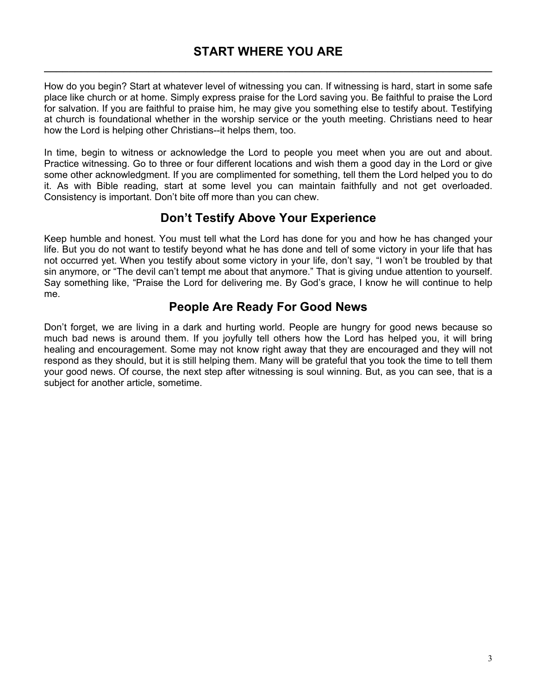# **START WHERE YOU ARE \_\_\_\_\_\_\_\_\_\_\_\_\_\_\_\_\_\_\_\_\_\_\_\_\_\_\_\_\_\_\_\_\_\_\_\_\_\_\_\_\_\_\_\_\_\_\_\_\_\_\_\_\_\_\_\_\_\_\_\_\_\_\_\_\_\_\_\_\_\_\_\_\_**

How do you begin? Start at whatever level of witnessing you can. If witnessing is hard, start in some safe place like church or at home. Simply express praise for the Lord saving you. Be faithful to praise the Lord for salvation. If you are faithful to praise him, he may give you something else to testify about. Testifying at church is foundational whether in the worship service or the youth meeting. Christians need to hear how the Lord is helping other Christians--it helps them, too.

In time, begin to witness or acknowledge the Lord to people you meet when you are out and about. Practice witnessing. Go to three or four different locations and wish them a good day in the Lord or give some other acknowledgment. If you are complimented for something, tell them the Lord helped you to do it. As with Bible reading, start at some level you can maintain faithfully and not get overloaded. Consistency is important. Don't bite off more than you can chew.

#### **Don't Testify Above Your Experience**

Keep humble and honest. You must tell what the Lord has done for you and how he has changed your life. But you do not want to testify beyond what he has done and tell of some victory in your life that has not occurred yet. When you testify about some victory in your life, don't say, "I won't be troubled by that sin anymore, or "The devil can't tempt me about that anymore." That is giving undue attention to yourself. Say something like, "Praise the Lord for delivering me. By God's grace, I know he will continue to help me.

# **People Are Ready For Good News**

Don't forget, we are living in a dark and hurting world. People are hungry for good news because so much bad news is around them. If you joyfully tell others how the Lord has helped you, it will bring healing and encouragement. Some may not know right away that they are encouraged and they will not respond as they should, but it is still helping them. Many will be grateful that you took the time to tell them your good news. Of course, the next step after witnessing is soul winning. But, as you can see, that is a subject for another article, sometime.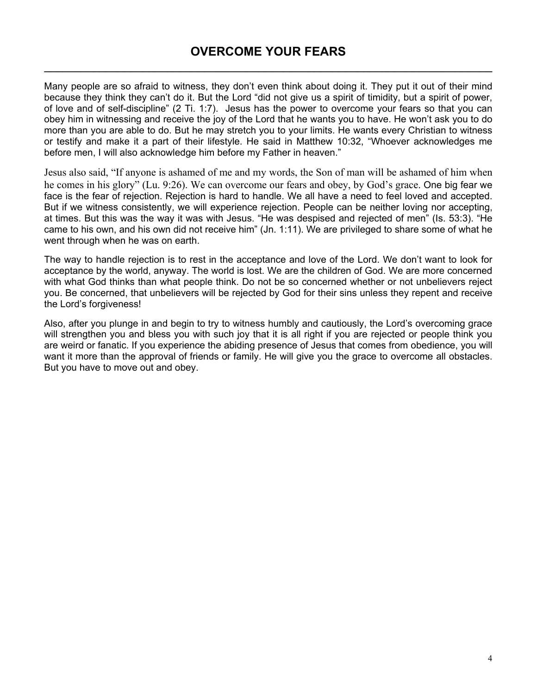# **OVERCOME YOUR FEARS \_\_\_\_\_\_\_\_\_\_\_\_\_\_\_\_\_\_\_\_\_\_\_\_\_\_\_\_\_\_\_\_\_\_\_\_\_\_\_\_\_\_\_\_\_\_\_\_\_\_\_\_\_\_\_\_\_\_\_\_\_\_\_\_\_\_\_\_\_\_\_\_\_**

Many people are so afraid to witness, they don't even think about doing it. They put it out of their mind because they think they can't do it. But the Lord "did not give us a spirit of timidity, but a spirit of power, of love and of self-discipline" (2 Ti. 1:7). Jesus has the power to overcome your fears so that you can obey him in witnessing and receive the joy of the Lord that he wants you to have. He won't ask you to do more than you are able to do. But he may stretch you to your limits. He wants every Christian to witness or testify and make it a part of their lifestyle. He said in Matthew 10:32, "Whoever acknowledges me before men, I will also acknowledge him before my Father in heaven."

Jesus also said, "If anyone is ashamed of me and my words, the Son of man will be ashamed of him when he comes in his glory" (Lu. 9:26). We can overcome our fears and obey, by God's grace. One big fear we face is the fear of rejection. Rejection is hard to handle. We all have a need to feel loved and accepted. But if we witness consistently, we will experience rejection. People can be neither loving nor accepting, at times. But this was the way it was with Jesus. "He was despised and rejected of men" (Is. 53:3). "He came to his own, and his own did not receive him" (Jn. 1:11). We are privileged to share some of what he went through when he was on earth.

The way to handle rejection is to rest in the acceptance and love of the Lord. We don't want to look for acceptance by the world, anyway. The world is lost. We are the children of God. We are more concerned with what God thinks than what people think. Do not be so concerned whether or not unbelievers reject you. Be concerned, that unbelievers will be rejected by God for their sins unless they repent and receive the Lord's forgiveness!

Also, after you plunge in and begin to try to witness humbly and cautiously, the Lord's overcoming grace will strengthen you and bless you with such joy that it is all right if you are rejected or people think you are weird or fanatic. If you experience the abiding presence of Jesus that comes from obedience, you will want it more than the approval of friends or family. He will give you the grace to overcome all obstacles. But you have to move out and obey.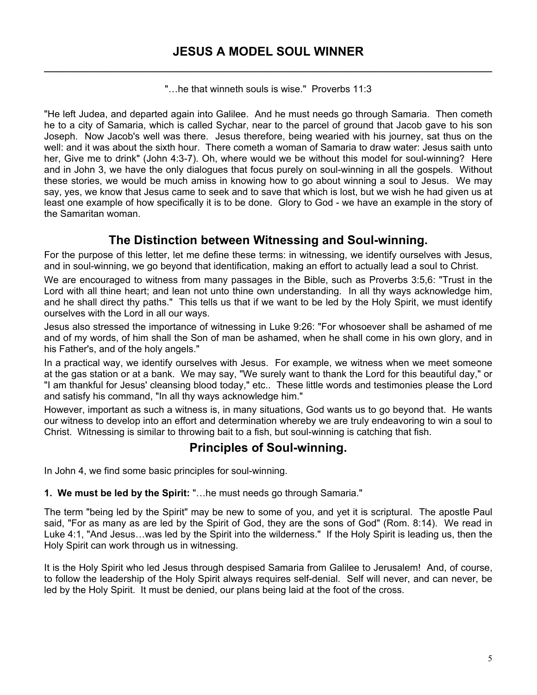"…he that winneth souls is wise." Proverbs 11:3

"He left Judea, and departed again into Galilee. And he must needs go through Samaria. Then cometh he to a city of Samaria, which is called Sychar, near to the parcel of ground that Jacob gave to his son Joseph. Now Jacob's well was there. Jesus therefore, being wearied with his journey, sat thus on the well: and it was about the sixth hour. There cometh a woman of Samaria to draw water: Jesus saith unto her, Give me to drink" (John 4:3-7). Oh, where would we be without this model for soul-winning? Here and in John 3, we have the only dialogues that focus purely on soul-winning in all the gospels. Without these stories, we would be much amiss in knowing how to go about winning a soul to Jesus. We may say, yes, we know that Jesus came to seek and to save that which is lost, but we wish he had given us at least one example of how specifically it is to be done. Glory to God - we have an example in the story of the Samaritan woman.

#### **The Distinction between Witnessing and Soul-winning.**

For the purpose of this letter, let me define these terms: in witnessing, we identify ourselves with Jesus, and in soul-winning, we go beyond that identification, making an effort to actually lead a soul to Christ.

We are encouraged to witness from many passages in the Bible, such as Proverbs 3:5,6: "Trust in the Lord with all thine heart; and lean not unto thine own understanding. In all thy ways acknowledge him, and he shall direct thy paths." This tells us that if we want to be led by the Holy Spirit, we must identify ourselves with the Lord in all our ways.

Jesus also stressed the importance of witnessing in Luke 9:26: "For whosoever shall be ashamed of me and of my words, of him shall the Son of man be ashamed, when he shall come in his own glory, and in his Father's, and of the holy angels."

In a practical way, we identify ourselves with Jesus. For example, we witness when we meet someone at the gas station or at a bank. We may say, "We surely want to thank the Lord for this beautiful day," or "I am thankful for Jesus' cleansing blood today," etc.. These little words and testimonies please the Lord and satisfy his command, "In all thy ways acknowledge him."

However, important as such a witness is, in many situations, God wants us to go beyond that. He wants our witness to develop into an effort and determination whereby we are truly endeavoring to win a soul to Christ. Witnessing is similar to throwing bait to a fish, but soul-winning is catching that fish.

#### **Principles of Soul-winning.**

In John 4, we find some basic principles for soul-winning.

#### **1. We must be led by the Spirit:** "…he must needs go through Samaria."

The term "being led by the Spirit" may be new to some of you, and yet it is scriptural. The apostle Paul said, "For as many as are led by the Spirit of God, they are the sons of God" (Rom. 8:14). We read in Luke 4:1, "And Jesus…was led by the Spirit into the wilderness." If the Holy Spirit is leading us, then the Holy Spirit can work through us in witnessing.

It is the Holy Spirit who led Jesus through despised Samaria from Galilee to Jerusalem! And, of course, to follow the leadership of the Holy Spirit always requires self-denial. Self will never, and can never, be led by the Holy Spirit. It must be denied, our plans being laid at the foot of the cross.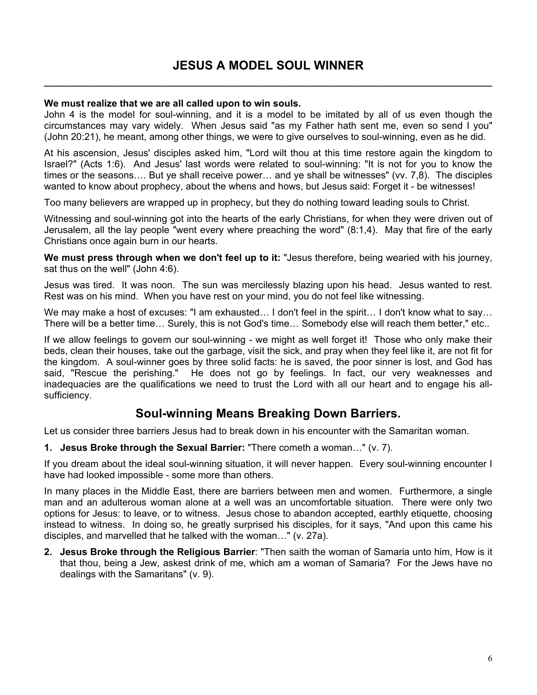#### **We must realize that we are all called upon to win souls.**

John 4 is the model for soul-winning, and it is a model to be imitated by all of us even though the circumstances may vary widely. When Jesus said "as my Father hath sent me, even so send I you" (John 20:21), he meant, among other things, we were to give ourselves to soul-winning, even as he did.

At his ascension, Jesus' disciples asked him, "Lord wilt thou at this time restore again the kingdom to Israel?" (Acts 1:6). And Jesus' last words were related to soul-winning: "It is not for you to know the times or the seasons…. But ye shall receive power… and ye shall be witnesses" (vv. 7,8). The disciples wanted to know about prophecy, about the whens and hows, but Jesus said: Forget it - be witnesses!

Too many believers are wrapped up in prophecy, but they do nothing toward leading souls to Christ.

Witnessing and soul-winning got into the hearts of the early Christians, for when they were driven out of Jerusalem, all the lay people "went every where preaching the word" (8:1,4). May that fire of the early Christians once again burn in our hearts.

**We must press through when we don't feel up to it:** "Jesus therefore, being wearied with his journey, sat thus on the well" (John 4:6).

Jesus was tired. It was noon. The sun was mercilessly blazing upon his head. Jesus wanted to rest. Rest was on his mind. When you have rest on your mind, you do not feel like witnessing.

We may make a host of excuses: "I am exhausted... I don't feel in the spirit... I don't know what to say... There will be a better time… Surely, this is not God's time… Somebody else will reach them better," etc..

If we allow feelings to govern our soul-winning - we might as well forget it! Those who only make their beds, clean their houses, take out the garbage, visit the sick, and pray when they feel like it, are not fit for the kingdom. A soul-winner goes by three solid facts: he is saved, the poor sinner is lost, and God has said, "Rescue the perishing." He does not go by feelings. In fact, our very weaknesses and inadequacies are the qualifications we need to trust the Lord with all our heart and to engage his allsufficiency.

# **Soul-winning Means Breaking Down Barriers.**

Let us consider three barriers Jesus had to break down in his encounter with the Samaritan woman.

**1. Jesus Broke through the Sexual Barrier:** "There cometh a woman…" (v. 7).

If you dream about the ideal soul-winning situation, it will never happen. Every soul-winning encounter I have had looked impossible - some more than others.

In many places in the Middle East, there are barriers between men and women. Furthermore, a single man and an adulterous woman alone at a well was an uncomfortable situation. There were only two options for Jesus: to leave, or to witness. Jesus chose to abandon accepted, earthly etiquette, choosing instead to witness. In doing so, he greatly surprised his disciples, for it says, "And upon this came his disciples, and marvelled that he talked with the woman…" (v. 27a).

**2. Jesus Broke through the Religious Barrier**: "Then saith the woman of Samaria unto him, How is it that thou, being a Jew, askest drink of me, which am a woman of Samaria? For the Jews have no dealings with the Samaritans" (v. 9).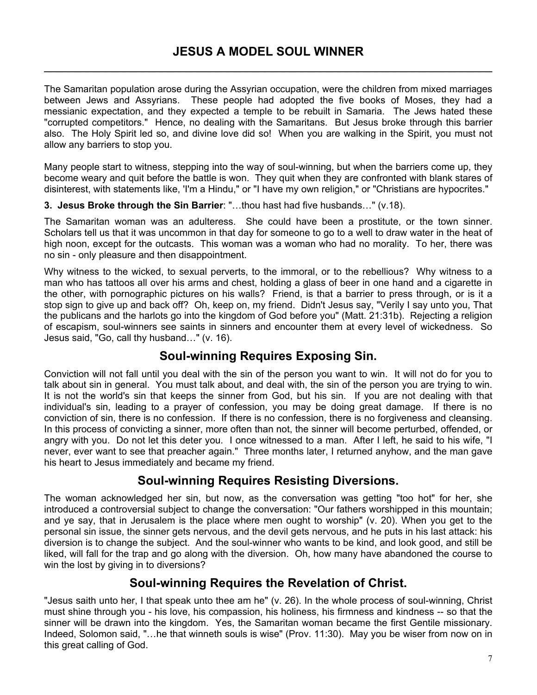The Samaritan population arose during the Assyrian occupation, were the children from mixed marriages between Jews and Assyrians. These people had adopted the five books of Moses, they had a messianic expectation, and they expected a temple to be rebuilt in Samaria. The Jews hated these "corrupted competitors." Hence, no dealing with the Samaritans. But Jesus broke through this barrier also. The Holy Spirit led so, and divine love did so! When you are walking in the Spirit, you must not allow any barriers to stop you.

Many people start to witness, stepping into the way of soul-winning, but when the barriers come up, they become weary and quit before the battle is won. They quit when they are confronted with blank stares of disinterest, with statements like, 'I'm a Hindu," or "I have my own religion," or "Christians are hypocrites."

**3. Jesus Broke through the Sin Barrier**: "…thou hast had five husbands…" (v.18).

The Samaritan woman was an adulteress. She could have been a prostitute, or the town sinner. Scholars tell us that it was uncommon in that day for someone to go to a well to draw water in the heat of high noon, except for the outcasts. This woman was a woman who had no morality. To her, there was no sin - only pleasure and then disappointment.

Why witness to the wicked, to sexual perverts, to the immoral, or to the rebellious? Why witness to a man who has tattoos all over his arms and chest, holding a glass of beer in one hand and a cigarette in the other, with pornographic pictures on his walls? Friend, is that a barrier to press through, or is it a stop sign to give up and back off? Oh, keep on, my friend. Didn't Jesus say, "Verily I say unto you, That the publicans and the harlots go into the kingdom of God before you" (Matt. 21:31b). Rejecting a religion of escapism, soul-winners see saints in sinners and encounter them at every level of wickedness. So Jesus said, "Go, call thy husband…" (v. 16).

# **Soul-winning Requires Exposing Sin.**

Conviction will not fall until you deal with the sin of the person you want to win. It will not do for you to talk about sin in general. You must talk about, and deal with, the sin of the person you are trying to win. It is not the world's sin that keeps the sinner from God, but his sin. If you are not dealing with that individual's sin, leading to a prayer of confession, you may be doing great damage. If there is no conviction of sin, there is no confession. If there is no confession, there is no forgiveness and cleansing. In this process of convicting a sinner, more often than not, the sinner will become perturbed, offended, or angry with you. Do not let this deter you. I once witnessed to a man. After I left, he said to his wife, "I never, ever want to see that preacher again." Three months later, I returned anyhow, and the man gave his heart to Jesus immediately and became my friend.

# **Soul-winning Requires Resisting Diversions.**

The woman acknowledged her sin, but now, as the conversation was getting "too hot" for her, she introduced a controversial subject to change the conversation: "Our fathers worshipped in this mountain; and ye say, that in Jerusalem is the place where men ought to worship" (v. 20). When you get to the personal sin issue, the sinner gets nervous, and the devil gets nervous, and he puts in his last attack: his diversion is to change the subject. And the soul-winner who wants to be kind, and look good, and still be liked, will fall for the trap and go along with the diversion. Oh, how many have abandoned the course to win the lost by giving in to diversions?

# **Soul-winning Requires the Revelation of Christ.**

"Jesus saith unto her, I that speak unto thee am he" (v. 26). In the whole process of soul-winning, Christ must shine through you - his love, his compassion, his holiness, his firmness and kindness -- so that the sinner will be drawn into the kingdom. Yes, the Samaritan woman became the first Gentile missionary. Indeed, Solomon said, "…he that winneth souls is wise" (Prov. 11:30). May you be wiser from now on in this great calling of God.